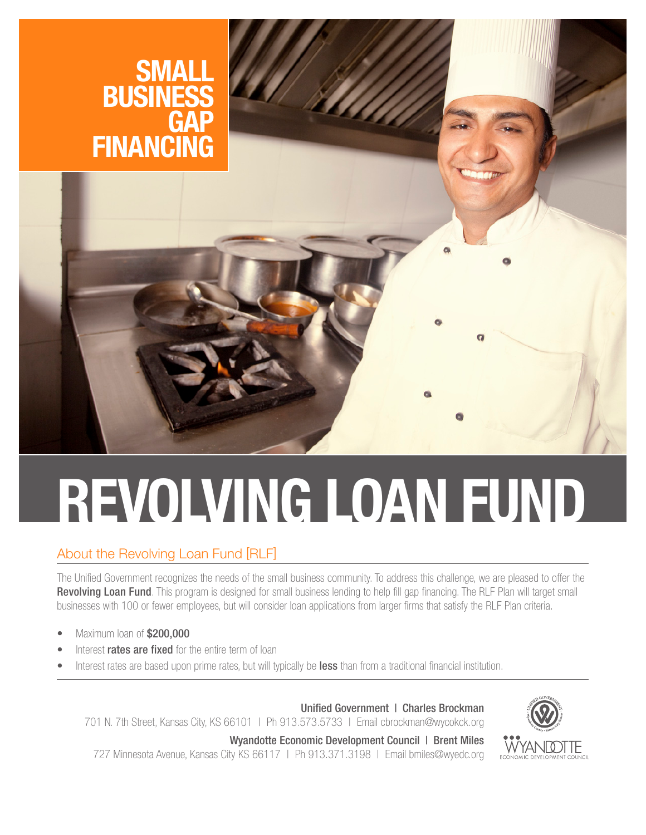

# **REVOLVING LOAN FUND**

# About the Revolving Loan Fund [RLF]

The Unified Government recognizes the needs of the small business community. To address this challenge, we are pleased to offer the Revolving Loan Fund. This program is designed for small business lending to help fill gap financing. The RLF Plan will target small businesses with 100 or fewer employees, but will consider loan applications from larger firms that satisfy the RLF Plan criteria.

- Maximum loan of \$200,000
- Interest **rates are fixed** for the entire term of loan
- Interest rates are based upon prime rates, but will typically be less than from a traditional financial institution.

Unified Government | Charles Brockman 701 N. 7th Street, Kansas City, KS 66101 | Ph 913.573.5733 | Email cbrockman@wycokck.org

Wyandotte Economic Development Council | Brent Miles

727 Minnesota Avenue, Kansas City KS 66117 | Ph 913.371.3198 | Email bmiles@wyedc.org